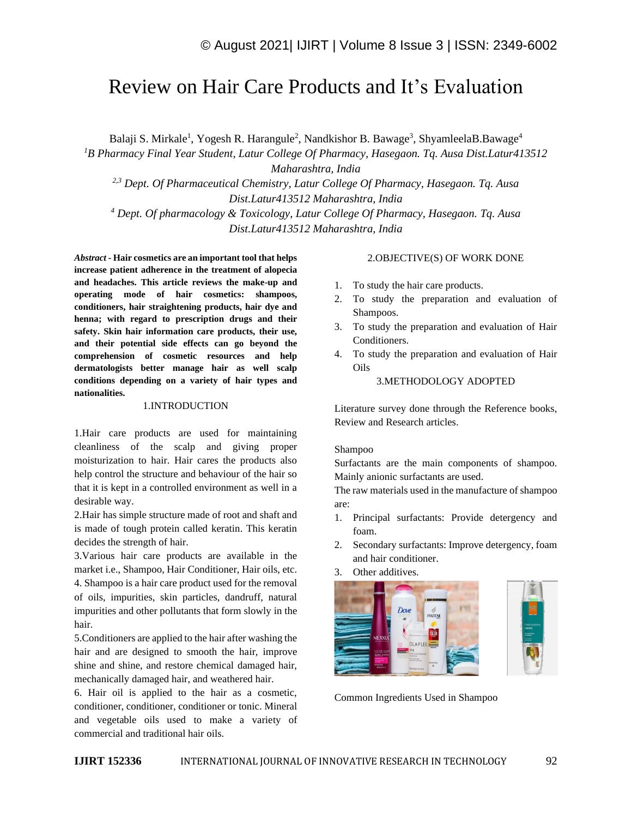# Review on Hair Care Products and It's Evaluation

Balaji S. Mirkale<sup>1</sup>, Yogesh R. Harangule<sup>2</sup>, Nandkishor B. Bawage<sup>3</sup>, ShyamleelaB.Bawage<sup>4</sup>

*<sup>1</sup>B Pharmacy Final Year Student, Latur College Of Pharmacy, Hasegaon. Tq. Ausa Dist.Latur413512* 

*Maharashtra, India*

*2,3 Dept. Of Pharmaceutical Chemistry, Latur College Of Pharmacy, Hasegaon. Tq. Ausa Dist.Latur413512 Maharashtra, India*

*<sup>4</sup> Dept. Of pharmacology & Toxicology, Latur College Of Pharmacy, Hasegaon. Tq. Ausa Dist.Latur413512 Maharashtra, India*

*Abstract -* **Hair cosmetics are an important tool that helps increase patient adherence in the treatment of alopecia and headaches. This article reviews the make-up and operating mode of hair cosmetics: shampoos, conditioners, hair straightening products, hair dye and henna; with regard to prescription drugs and their safety. Skin hair information care products, their use, and their potential side effects can go beyond the comprehension of cosmetic resources and help dermatologists better manage hair as well scalp conditions depending on a variety of hair types and nationalities.**

#### 1.INTRODUCTION

1.Hair care products are used for maintaining cleanliness of the scalp and giving proper moisturization to hair. Hair cares the products also help control the structure and behaviour of the hair so that it is kept in a controlled environment as well in a desirable way.

2.Hair has simple structure made of root and shaft and is made of tough protein called keratin. This keratin decides the strength of hair.

3.Various hair care products are available in the market i.e., Shampoo, Hair Conditioner, Hair oils, etc. 4. Shampoo is a hair care product used for the removal of oils, impurities, skin particles, dandruff, natural impurities and other pollutants that form slowly in the hair.

5.Conditioners are applied to the hair after washing the hair and are designed to smooth the hair, improve shine and shine, and restore chemical damaged hair, mechanically damaged hair, and weathered hair.

6. Hair oil is applied to the hair as a cosmetic, conditioner, conditioner, conditioner or tonic. Mineral and vegetable oils used to make a variety of commercial and traditional hair oils.

#### 2.OBJECTIVE(S) OF WORK DONE

- 1. To study the hair care products.
- 2. To study the preparation and evaluation of Shampoos.
- 3. To study the preparation and evaluation of Hair Conditioners.
- 4. To study the preparation and evaluation of Hair Oils

#### 3.METHODOLOGY ADOPTED

Literature survey done through the Reference books, Review and Research articles.

#### Shampoo

Surfactants are the main components of shampoo. Mainly anionic surfactants are used.

The raw materials used in the manufacture of shampoo are:

- 1. Principal surfactants: Provide detergency and foam.
- 2. Secondary surfactants: Improve detergency, foam and hair conditioner.
- 3. Other additives.



Common Ingredients Used in Shampoo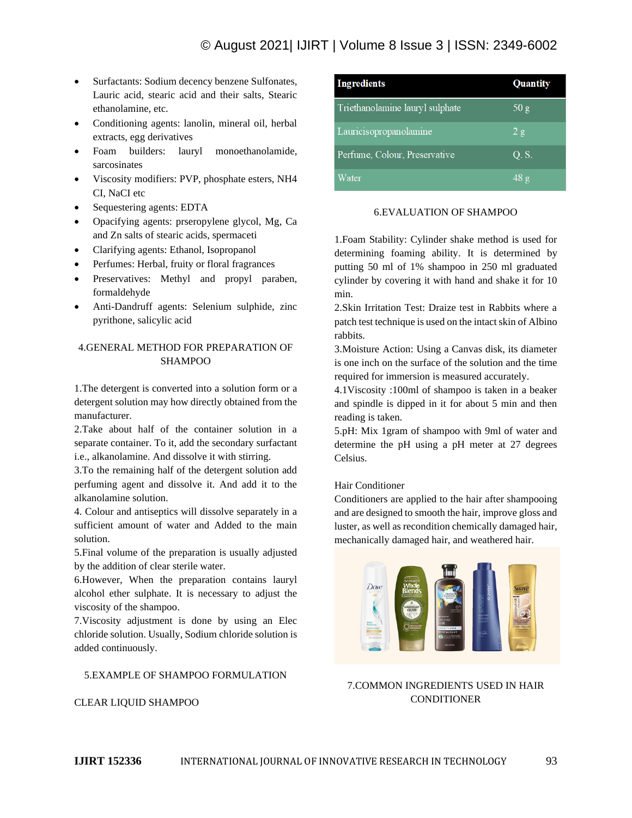# © August 2021| IJIRT | Volume 8 Issue 3 | ISSN: 2349-6002

- Surfactants: Sodium decency benzene Sulfonates, Lauric acid, stearic acid and their salts, Stearic ethanolamine, etc.
- Conditioning agents: lanolin, mineral oil, herbal extracts, egg derivatives
- Foam builders: lauryl monoethanolamide, sarcosinates
- Viscosity modifiers: PVP, phosphate esters, NH4 CI, NaCI etc
- Sequestering agents: EDTA
- Opacifying agents: prseropylene glycol, Mg, Ca and Zn salts of stearic acids, spermaceti
- Clarifying agents: Ethanol, Isopropanol
- Perfumes: Herbal, fruity or floral fragrances
- Preservatives: Methyl and propyl paraben, formaldehyde
- Anti-Dandruff agents: Selenium sulphide, zinc pyrithone, salicylic acid

## 4.GENERAL METHOD FOR PREPARATION OF **SHAMPOO**

1.The detergent is converted into a solution form or a detergent solution may how directly obtained from the manufacturer.

2.Take about half of the container solution in a separate container. To it, add the secondary surfactant i.e., alkanolamine. And dissolve it with stirring.

3.To the remaining half of the detergent solution add perfuming agent and dissolve it. And add it to the alkanolamine solution.

4. Colour and antiseptics will dissolve separately in a sufficient amount of water and Added to the main solution.

5.Final volume of the preparation is usually adjusted by the addition of clear sterile water.

6.However, When the preparation contains lauryl alcohol ether sulphate. It is necessary to adjust the viscosity of the shampoo.

7.Viscosity adjustment is done by using an Elec chloride solution. Usually, Sodium chloride solution is added continuously.

5.EXAMPLE OF SHAMPOO FORMULATION

CLEAR LIQUID SHAMPOO

| <b>Ingredients</b>              | Quantity |
|---------------------------------|----------|
| Triethanolamine lauryl sulphate | 50 g     |
| Lauricisopropanolamine          | 2g       |
| Perfume, Colour, Preservative   | Q. S.    |
| Water                           | 48g      |

#### 6.EVALUATION OF SHAMPOO

1.Foam Stability: Cylinder shake method is used for determining foaming ability. It is determined by putting 50 ml of 1% shampoo in 250 ml graduated cylinder by covering it with hand and shake it for 10 min.

2.Skin Irritation Test: Draize test in Rabbits where a patch test technique is used on the intact skin of Albino rabbits.

3.Moisture Action: Using a Canvas disk, its diameter is one inch on the surface of the solution and the time required for immersion is measured accurately.

4.1Viscosity :100ml of shampoo is taken in a beaker and spindle is dipped in it for about 5 min and then reading is taken.

5.pH: Mix 1gram of shampoo with 9ml of water and determine the pH using a pH meter at 27 degrees Celsius.

### Hair Conditioner

Conditioners are applied to the hair after shampooing and are designed to smooth the hair, improve gloss and luster, as well as recondition chemically damaged hair, mechanically damaged hair, and weathered hair.



# 7.COMMON INGREDIENTS USED IN HAIR **CONDITIONER**